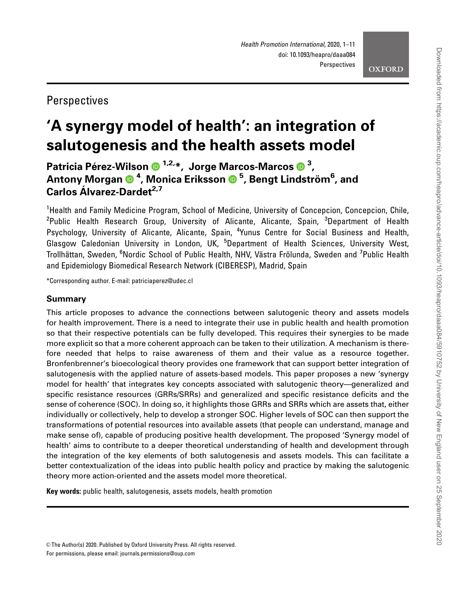# Perspectives

# 'A synergy model of health': an integration of salutogenesis and the health assets model

Patricia Pe´ rez-Wilson 1,2,\*, Jorge Marcos-Marcos <sup>3</sup> , Antony Morgan <sup>4</sup> , Monica Eriksson <sup>5</sup> , Bengt Lindstro¨ m<sup>6</sup> , and Carlos Álvarez-Dardet $2,7$ 

<sup>1</sup>Health and Family Medicine Program, School of Medicine, University of Concepcion, Concepcion, Chile, <sup>2</sup>Public Health Research Group, University of Alicante, Alicante, Spain, <sup>3</sup>Department of Health Psychology, University of Alicante, Alicante, Spain, <sup>4</sup>Yunus Centre for Social Business and Health, Glasgow Caledonian University in London, UK, <sup>5</sup>Department of Health Sciences, University West, Trollhättan, Sweden, <sup>6</sup>Nordic School of Public Health, NHV, Västra Frölunda, Sweden and <sup>7</sup>Public Health and Epidemiology Biomedical Research Network (CIBERESP), Madrid, Spain

\*Corresponding author. E-mail: patriciaperez@udec.cl

# Summary

This article proposes to advance the connections between salutogenic theory and assets models for health improvement. There is a need to integrate their use in public health and health promotion so that their respective potentials can be fully developed. This requires their synergies to be made more explicit so that a more coherent approach can be taken to their utilization. A mechanism is therefore needed that helps to raise awareness of them and their value as a resource together. Bronfenbrenner's bioecological theory provides one framework that can support better integration of salutogenesis with the applied nature of assets-based models. This paper proposes a new 'synergy model for health' that integrates key concepts associated with salutogenic theory—generalized and specific resistance resources (GRRs/SRRs) and generalized and specific resistance deficits and the sense of coherence (SOC). In doing so, it highlights those GRRs and SRRs which are assets that, either individually or collectively, help to develop a stronger SOC. Higher levels of SOC can then support the transformations of potential resources into available assets (that people can understand, manage and make sense of), capable of producing positive health development. The proposed 'Synergy model of health' aims to contribute to a deeper theoretical understanding of health and development through the integration of the key elements of both salutogenesis and assets models. This can facilitate a better contextualization of the ideas into public health policy and practice by making the salutogenic theory more action-oriented and the assets model more theoretical.

Key words: public health, salutogenesis, assets models, health promotion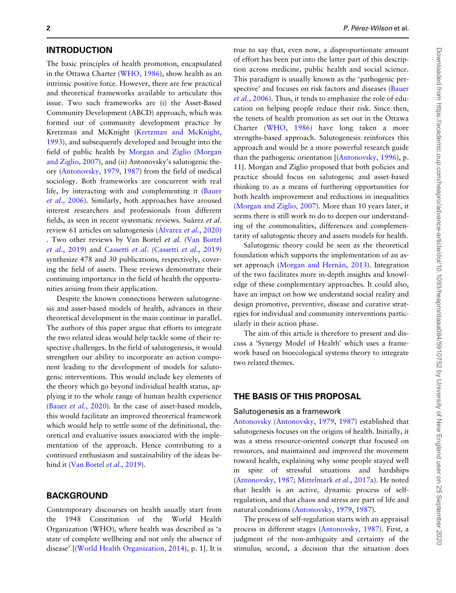#### INTRODUCTION

The basic principles of health promotion, encapsulated in the Ottawa Charter [\(WHO, 1986\)](#page-10-0), show health as an intrinsic positive force. However, there are few practical and theoretical frameworks available to articulate this issue. Two such frameworks are (i) the Asset-Based Community Development (ABCD) approach, which was formed out of community development practice by Kretzman and McKnight ([Kretzman and McKnight,](#page-9-0) [1993](#page-9-0)), and subsequently developed and brought into the field of public health by [Morgan and Ziglio \(Morgan](#page-9-0) [and Ziglio, 2007\)](#page-9-0), and (ii) Antonovsky's salutogenic theory [\(Antonovsky, 1979](#page-8-0), [1987\)](#page-8-0) from the field of medical sociology. Both frameworks are concurrent with real life, by interacting with and complementing it [\(Bauer](#page-8-0) et al.[, 2006\)](#page-8-0). Similarly, both approaches have aroused interest researchers and professionals from different fields, as seen in recent systematic reviews. Suárez et al. review 61 articles on salutogenesis ( $\hat{A}$  lvarez et al[., 2020\)](#page-8-0) . Two other reviews by Van Bortel et al. ([Van Bortel](#page-10-0) et al.[, 2019\)](#page-10-0) and Cassetti et al. [\(Cassetti](#page-8-0) et al., 2019) synthesize 478 and 30 publications, respectively, covering the field of assets. These reviews demonstrate their continuing importance in the field of health the opportunities arising from their application.

Despite the known connections between salutogenesis and asset-based models of health, advances in their theoretical development in the main continue in parallel. The authors of this paper argue that efforts to integrate the two related ideas would help tackle some of their respective challenges. In the field of salutogenesis, it would strengthen our ability to incorporate an action component leading to the development of models for salutogenic interventions. This would include key elements of the theory which go beyond individual health status, applying it to the whole range of human health experience (Bauer et al.[, 2020](#page-8-0)). In the case of asset-based models, this would facilitate an improved theoretical framework which would help to settle some of the definitional, theoretical and evaluative issues associated with the implementation of the approach. Hence contributing to a continued enthusiasm and sustainability of the ideas be-hind it [\(Van Bortel](#page-10-0) et al., 2019).

## BACKGROUND

Contemporary discourses on health usually start from the 1948 Constitution of the World Health Organization (WHO), where health was described as 'a state of complete wellbeing and not only the absence of disease' [([World Health Organization, 2014\)](#page-10-0), p. 1]. It is

true to say that, even now, a disproportionate amount of effort has been put into the latter part of this description across medicine, public health and social science. This paradigm is usually known as the 'pathogenic perspective' and focuses on risk factors and diseases [\(Bauer](#page-8-0) et al.[, 2006\)](#page-8-0). Thus, it tends to emphasize the role of education on helping people reduce their risk. Since then, the tenets of health promotion as set out in the Ottawa Charter [\(WHO, 1986](#page-10-0)) have long taken a more strengths-based approach. Salutogenesis reinforces this approach and would be a more powerful research guide than the pathogenic orientation [[\(Antonovsky, 1996\)](#page-8-0), p. 11]. Morgan and Ziglio proposed that both policies and practice should focus on salutogenic and asset-based thinking to as a means of furthering opportunities for both health improvement and reductions in inequalities [\(Morgan and Ziglio, 2007\)](#page-9-0). More than 10 years later, it seems there is still work to do to deepen our understanding of the commonalities, differences and complementarity of salutogenic theory and assets models for health.

Salutogenic theory could be seen as the theoretical foundation which supports the implementation of an asset approach (Morgan and Hernán, 2013). Integration of the two facilitates more in-depth insights and knowledge of these complementary approaches. It could also, have an impact on how we understand social reality and design promotive, preventive, disease and curative strategies for individual and community interventions particularly in their action phase.

The aim of this article is therefore to present and discuss a 'Synergy Model of Health' which uses a framework based on bioecological systems theory to integrate two related themes.

### THE BASIS OF THIS PROPOSAL

#### Salutogenesis as a framework

[Antonovsky \(Antonovsky, 1979,](#page-8-0) [1987](#page-8-0)) established that salutogenesis focuses on the origins of health. Initially, it was a stress resource-oriented concept that focused on resources, and maintained and improved the movement toward health, explaining why some people stayed well in spite of stressful situations and hardships [\(Antonovsky, 1987](#page-8-0); [Mittelmark](#page-9-0) et al., 2017a). He noted that health is an active, dynamic process of selfregulation, and that chaos and stress are part of life and natural conditions [\(Antonovsky, 1979,](#page-8-0) [1987\)](#page-8-0).

The process of self-regulation starts with an appraisal process in different stages [\(Antonovsky, 1987\)](#page-8-0). First, a judgment of the non-ambiguity and certainty of the stimulus; second, a decision that the situation does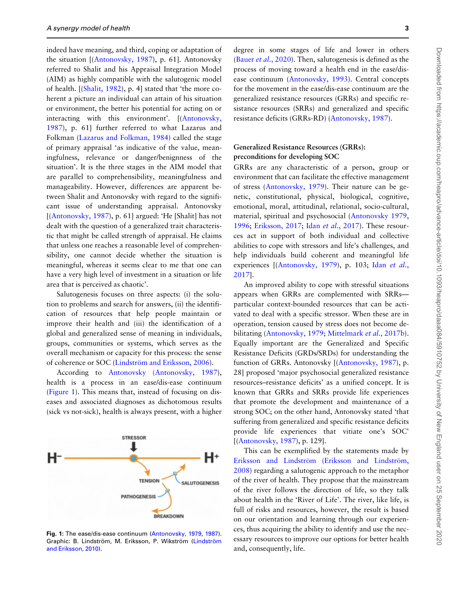indeed have meaning, and third, coping or adaptation of the situation [([Antonovsky, 1987](#page-8-0)), p. 61]. Antonovsky referred to Shalit and his Appraisal Integration Model (AIM) as highly compatible with the salutogenic model of health. [[\(Shalit, 1982\)](#page-10-0), p. 4] stated that 'the more coherent a picture an individual can attain of his situation or environment, the better his potential for acting on or interacting with this environment'. [[\(Antonovsky,](#page-8-0) [1987](#page-8-0)), p. 61] further referred to what Lazarus and Folkman ([Lazarus and Folkman, 1984\)](#page-9-0) called the stage of primary appraisal 'as indicative of the value, meaningfulness, relevance or danger/benignness of the situation'. It is the three stages in the AIM model that are parallel to comprehensibility, meaningfulness and manageability. However, differences are apparent between Shalit and Antonovsky with regard to the significant issue of understanding appraisal. Antonovsky [[\(Antonovsky, 1987](#page-8-0)), p. 61] argued: 'He [Shalit] has not dealt with the question of a generalized trait characteristic that might be called strength of appraisal. He claims that unless one reaches a reasonable level of comprehensibility, one cannot decide whether the situation is meaningful, whereas it seems clear to me that one can have a very high level of investment in a situation or life area that is perceived as chaotic'.

Salutogenesis focuses on three aspects: (i) the solution to problems and search for answers, (ii) the identification of resources that help people maintain or improve their health and (iii) the identification of a global and generalized sense of meaning in individuals, groups, communities or systems, which serves as the overall mechanism or capacity for this process: the sense of coherence or SOC (Lindström and Eriksson, 2006).

According to [Antonovsky \(Antonovsky, 1987](#page-8-0)), health is a process in an ease/dis-ease continuum (Figure 1). This means that, instead of focusing on diseases and associated diagnoses as dichotomous results (sick vs not-sick), health is always present, with a higher

**STRESSOR** 

**TENSION** 

**BREAKDOWN** 

**PATHOGENESIS** 

н

H+

SALUTOGENESIS



degree in some stages of life and lower in others (Bauer et al.[, 2020](#page-8-0)). Then, salutogenesis is defined as the process of moving toward a health end in the ease/disease continuum ([Antonovsky, 1993\)](#page-8-0). Central concepts for the movement in the ease/dis-ease continuum are the generalized resistance resources (GRRs) and specific resistance resources (SRRs) and generalized and specific resistance deficits (GRRs-RD) ([Antonovsky, 1987](#page-8-0)).

#### Generalized Resistance Resources (GRRs): preconditions for developing SOC

GRRs are any characteristic of a person, group or environment that can facilitate the effective management of stress [\(Antonovsky, 1979](#page-8-0)). Their nature can be genetic, constitutional, physical, biological, cognitive, emotional, moral, attitudinal, relational, socio-cultural, material, spiritual and psychosocial [\(Antonovsky 1979](#page-8-0), [1996](#page-8-0); [Eriksson, 2017;](#page-9-0) Idan et al.[, 2017](#page-9-0)). These resources act in support of both individual and collective abilities to cope with stressors and life's challenges, and help individuals build coherent and meaningful life experiences [([Antonovsky, 1979](#page-8-0)), p. 103; Idan [et al.](#page-9-0), [2017](#page-9-0)].

An improved ability to cope with stressful situations appears when GRRs are complemented with SRRs particular context-bounded resources that can be activated to deal with a specific stressor. When these are in operation, tension caused by stress does not become de-bilitating ([Antonovsky, 1979](#page-8-0); [Mittelmark](#page-9-0) et al., 2017b). Equally important are the Generalized and Specific Resistance Deficits (GRDs/SRDs) for understanding the function of GRRs. Antonovsky [([Antonovsky, 1987\)](#page-8-0), p. 28] proposed 'major psychosocial generalized resistance resources–resistance deficits' as a unified concept. It is known that GRRs and SRRs provide life experiences that promote the development and maintenance of a strong SOC; on the other hand, Antonovsky stated 'that suffering from generalized and specific resistance deficits provide life experiences that vitiate one's SOC' [[\(Antonovsky, 1987\)](#page-8-0), p. 129].

This can be exemplified by the statements made by Eriksson and Lindström (Eriksson and Lindström, [2008](#page-9-0)) regarding a salutogenic approach to the metaphor of the river of health. They propose that the mainstream of the river follows the direction of life, so they talk about health in the 'River of Life'. The river, like life, is full of risks and resources, however, the result is based on our orientation and learning through our experiences, thus acquiring the ability to identify and use the necessary resources to improve our options for better health and, consequently, life.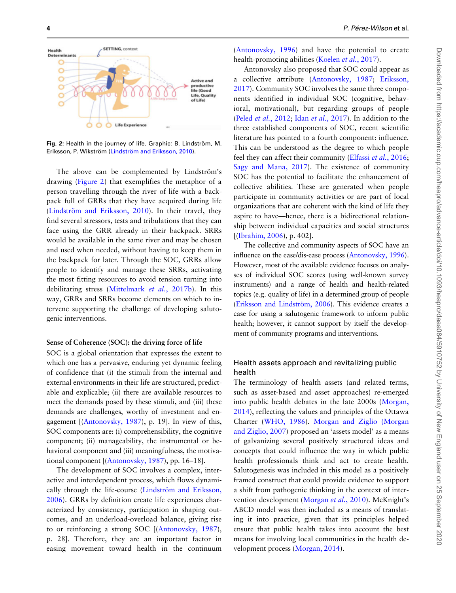<span id="page-3-0"></span>

Fig. 2: Health in the journey of life. Graphic: B. Lindström, M. Eriksson, P. Wikström (Lindström and Eriksson, 2010).

The above can be complemented by Lindström's drawing (Figure 2) that exemplifies the metaphor of a person travelling through the river of life with a backpack full of GRRs that they have acquired during life (Lindström and Eriksson, 2010). In their travel, they find several stressors, tests and tribulations that they can face using the GRR already in their backpack. SRRs would be available in the same river and may be chosen and used when needed, without having to keep them in the backpack for later. Through the SOC, GRRs allow people to identify and manage these SRRs, activating the most fitting resources to avoid tension turning into debilitating stress [\(Mittelmark](#page-9-0) et al., 2017b). In this way, GRRs and SRRs become elements on which to intervene supporting the challenge of developing salutogenic interventions.

#### Sense of Coherence (SOC): the driving force of life

SOC is a global orientation that expresses the extent to which one has a pervasive, enduring yet dynamic feeling of confidence that (i) the stimuli from the internal and external environments in their life are structured, predictable and explicable; (ii) there are available resources to meet the demands posed by these stimuli, and (iii) these demands are challenges, worthy of investment and engagement [[\(Antonovsky, 1987](#page-8-0)), p. 19]. In view of this, SOC components are: (i) comprehensibility, the cognitive component; (ii) manageability, the instrumental or behavioral component and (iii) meaningfulness, the motivational component [[\(Antonovsky, 1987\)](#page-8-0), pp. 16–18].

The development of SOC involves a complex, interactive and interdependent process, which flows dynamically through the life-course (Lindström and Eriksson, [2006](#page-9-0)). GRRs by definition create life experiences characterized by consistency, participation in shaping outcomes, and an underload-overload balance, giving rise to or reinforcing a strong SOC [([Antonovsky, 1987](#page-8-0)), p. 28]. Therefore, they are an important factor in easing movement toward health in the continuum [\(Antonovsky, 1996](#page-8-0)) and have the potential to create health-promoting abilities [\(Koelen](#page-9-0) et al., 2017).

Antonovsky also proposed that SOC could appear as a collective attribute [\(Antonovsky, 1987](#page-8-0); [Eriksson,](#page-9-0) [2017](#page-9-0)). Community SOC involves the same three components identified in individual SOC (cognitive, behavioral, motivational), but regarding groups of people (Peled *et al.*[, 2012;](#page-9-0) Idan *et al.*[, 2017\)](#page-9-0). In addition to the three established components of SOC, recent scientific literature has pointed to a fourth component: influence. This can be understood as the degree to which people feel they can affect their community [\(Elfassi](#page-9-0) et al., 2016; [Sagy and Mana, 2017](#page-9-0)). The existence of community SOC has the potential to facilitate the enhancement of collective abilities. These are generated when people participate in community activities or are part of local organizations that are coherent with the kind of life they aspire to have—hence, there is a bidirectional relationship between individual capacities and social structures [[\(Ibrahim, 2006\)](#page-9-0), p. 402].

The collective and community aspects of SOC have an influence on the ease/dis-ease process [\(Antonovsky, 1996\)](#page-8-0). However, most of the available evidence focuses on analyses of individual SOC scores (using well-known survey instruments) and a range of health and health-related topics (e.g. quality of life) in a determined group of people (Eriksson and Lindström, 2006). This evidence creates a case for using a salutogenic framework to inform public health; however, it cannot support by itself the development of community programs and interventions.

#### Health assets approach and revitalizing public health

The terminology of health assets (and related terms, such as asset-based and asset approaches) re-emerged into public health debates in the late 2000s ([Morgan,](#page-9-0) [2014](#page-9-0)), reflecting the values and principles of the Ottawa Charter [\(WHO, 1986\)](#page-10-0). [Morgan and Ziglio \(Morgan](#page-9-0) [and Ziglio, 2007](#page-9-0)) proposed an 'assets model' as a means of galvanizing several positively structured ideas and concepts that could influence the way in which public health professionals think and act to create health. Salutogenesis was included in this model as a positively framed construct that could provide evidence to support a shift from pathogenic thinking in the context of intervention development [\(Morgan](#page-9-0) et al., 2010). McKnight's ABCD model was then included as a means of translating it into practice, given that its principles helped ensure that public health takes into account the best means for involving local communities in the health development process ([Morgan, 2014\)](#page-9-0).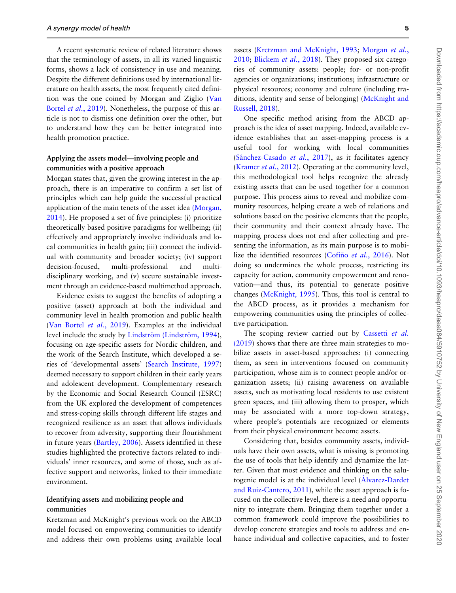A recent systematic review of related literature shows that the terminology of assets, in all its varied linguistic forms, shows a lack of consistency in use and meaning. Despite the different definitions used by international literature on health assets, the most frequently cited definition was the one coined by Morgan and Ziglio ([Van](#page-10-0) Bortel *et al.*[, 2019](#page-10-0)). Nonetheless, the purpose of this article is not to dismiss one definition over the other, but to understand how they can be better integrated into health promotion practice.

#### Applying the assets model—involving people and communities with a positive approach

Morgan states that, given the growing interest in the approach, there is an imperative to confirm a set list of principles which can help guide the successful practical application of the main tenets of the asset idea [\(Morgan,](#page-9-0) [2014](#page-9-0)). He proposed a set of five principles: (i) prioritize theoretically based positive paradigms for wellbeing; (ii) effectively and appropriately involve individuals and local communities in health gain; (iii) connect the individual with community and broader society; (iv) support decision-focused, multi-professional and multidisciplinary working, and (v) secure sustainable investment through an evidence-based multimethod approach.

Evidence exists to suggest the benefits of adopting a positive (asset) approach at both the individual and community level in health promotion and public health [\(Van Bortel](#page-10-0) et al., 2019). Examples at the individual level include the study by Lindström (Lindström, 1994), focusing on age-specific assets for Nordic children, and the work of the Search Institute, which developed a series of 'developmental assets' ([Search Institute, 1997\)](#page-9-0) deemed necessary to support children in their early years and adolescent development. Complementary research by the Economic and Social Research Council (ESRC) from the UK explored the development of competences and stress-coping skills through different life stages and recognized resilience as an asset that allows individuals to recover from adversity, supporting their flourishment in future years [\(Bartley, 2006\)](#page-8-0). Assets identified in these studies highlighted the protective factors related to individuals' inner resources, and some of those, such as affective support and networks, linked to their immediate environment.

#### Identifying assets and mobilizing people and communities

Kretzman and McKnight's previous work on the ABCD model focused on empowering communities to identify and address their own problems using available local

assets ([Kretzman and McKnight, 1993](#page-9-0); [Morgan](#page-9-0) et al., [2010](#page-9-0); [Blickem](#page-8-0) et al., 2018). They proposed six categories of community assets: people; for- or non-profit agencies or organizations; institutions; infrastructure or physical resources; economy and culture (including traditions, identity and sense of belonging) [\(McKnight and](#page-9-0) [Russell, 2018\)](#page-9-0).

One specific method arising from the ABCD approach is the idea of asset mapping. Indeed, available evidence establishes that an asset-mapping process is a useful tool for working with local communities (Sánchez-Casado et al., 2017), as it facilitates agency [\(Kramer](#page-9-0) et al., 2012). Operating at the community level, this methodological tool helps recognize the already existing assets that can be used together for a common purpose. This process aims to reveal and mobilize community resources, helping create a web of relations and solutions based on the positive elements that the people, their community and their context already have. The mapping process does not end after collecting and presenting the information, as its main purpose is to mobi-lize the identified resources [\(Cofi](#page-8-0)ño et al.[, 2016](#page-8-0)). Not doing so undermines the whole process, restricting its capacity for action, community empowerment and renovation—and thus, its potential to generate positive changes [\(McKnight, 1995\)](#page-9-0). Thus, this tool is central to the ABCD process, as it provides a mechanism for empowering communities using the principles of collective participation.

The scoping review carried out by [Cassetti](#page-8-0) et al. [\(2019](#page-8-0)) shows that there are three main strategies to mobilize assets in asset-based approaches: (i) connecting them, as seen in interventions focused on community participation, whose aim is to connect people and/or organization assets; (ii) raising awareness on available assets, such as motivating local residents to use existent green spaces, and (iii) allowing them to prosper, which may be associated with a more top-down strategy, where people's potentials are recognized or elements from their physical environment become assets.

Considering that, besides community assets, individuals have their own assets, what is missing is promoting the use of tools that help identify and dynamize the latter. Given that most evidence and thinking on the salutogenic model is at the individual level (A[lvarez-Dardet](#page-8-0) [and Ruiz-Cantero, 2011](#page-8-0)), while the asset approach is focused on the collective level, there is a need and opportunity to integrate them. Bringing them together under a common framework could improve the possibilities to develop concrete strategies and tools to address and enhance individual and collective capacities, and to foster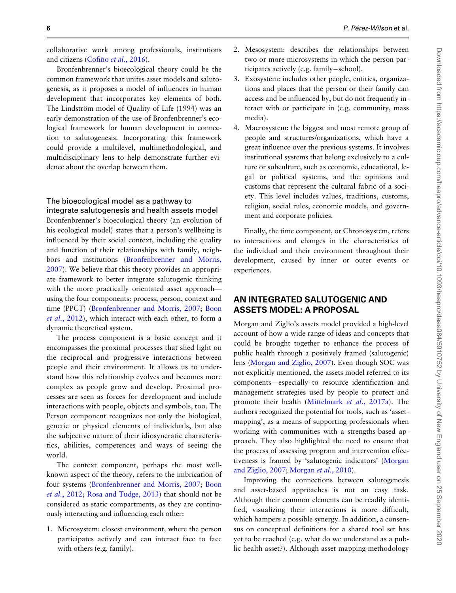collaborative work among professionals, institutions and citizens [\(Cofi](#page-8-0)ño et al.[, 2016\)](#page-8-0).

Bronfenbrenner's bioecological theory could be the common framework that unites asset models and salutogenesis, as it proposes a model of influences in human development that incorporates key elements of both. The Lindström model of Quality of Life (1994) was an early demonstration of the use of Bronfenbrenner's ecological framework for human development in connection to salutogenesis. Incorporating this framework could provide a multilevel, multimethodological, and multidisciplinary lens to help demonstrate further evidence about the overlap between them.

#### The bioecological model as a pathway to integrate salutogenesis and health assets model

Bronfenbrenner's bioecological theory (an evolution of his ecological model) states that a person's wellbeing is influenced by their social context, including the quality and function of their relationships with family, neighbors and institutions [\(Bronfenbrenner and Morris,](#page-8-0) [2007](#page-8-0)). We believe that this theory provides an appropriate framework to better integrate salutogenic thinking with the more practically orientated asset approach using the four components: process, person, context and time (PPCT) [\(Bronfenbrenner and Morris, 2007](#page-8-0); [Boon](#page-8-0) et al.[, 2012](#page-8-0)), which interact with each other, to form a dynamic theoretical system.

The process component is a basic concept and it encompasses the proximal processes that shed light on the reciprocal and progressive interactions between people and their environment. It allows us to understand how this relationship evolves and becomes more complex as people grow and develop. Proximal processes are seen as forces for development and include interactions with people, objects and symbols, too. The Person component recognizes not only the biological, genetic or physical elements of individuals, but also the subjective nature of their idiosyncratic characteristics, abilities, competences and ways of seeing the world.

The context component, perhaps the most wellknown aspect of the theory, refers to the imbrication of four systems ([Bronfenbrenner and Morris, 2007;](#page-8-0) [Boon](#page-8-0) et al.[, 2012](#page-8-0); [Rosa and Tudge, 2013\)](#page-9-0) that should not be considered as static compartments, as they are continuously interacting and influencing each other:

1. Microsystem: closest environment, where the person participates actively and can interact face to face with others (e.g. family).

- 2. Mesosystem: describes the relationships between two or more microsystems in which the person participates actively (e.g. family-school).
- 3. Exosystem: includes other people, entities, organizations and places that the person or their family can access and be influenced by, but do not frequently interact with or participate in (e.g. community, mass media).
- 4. Macrosystem: the biggest and most remote group of people and structures/organizations, which have a great influence over the previous systems. It involves institutional systems that belong exclusively to a culture or subculture, such as economic, educational, legal or political systems, and the opinions and customs that represent the cultural fabric of a society. This level includes values, traditions, customs, religion, social rules, economic models, and government and corporate policies.

Finally, the time component, or Chronosystem, refers to interactions and changes in the characteristics of the individual and their environment throughout their development, caused by inner or outer events or experiences.

# AN INTEGRATED SALUTOGENIC AND ASSETS MODEL: A PROPOSAL

Morgan and Ziglio's assets model provided a high-level account of how a wide range of ideas and concepts that could be brought together to enhance the process of public health through a positively framed (salutogenic) lens [\(Morgan and Ziglio, 2007](#page-9-0)). Even though SOC was not explicitly mentioned, the assets model referred to its components—especially to resource identification and management strategies used by people to protect and promote their health [\(Mittelmark](#page-9-0) et al., 2017a). The authors recognized the potential for tools, such as 'assetmapping', as a means of supporting professionals when working with communities with a strengths-based approach. They also highlighted the need to ensure that the process of assessing program and intervention effectiveness is framed by 'salutogenic indicators' ([Morgan](#page-9-0) [and Ziglio, 2007;](#page-9-0) [Morgan](#page-9-0) et al., 2010).

Improving the connections between salutogenesis and asset-based approaches is not an easy task. Although their common elements can be readily identified, visualizing their interactions is more difficult, which hampers a possible synergy. In addition, a consensus on conceptual definitions for a shared tool set has yet to be reached (e.g. what do we understand as a public health asset?). Although asset-mapping methodology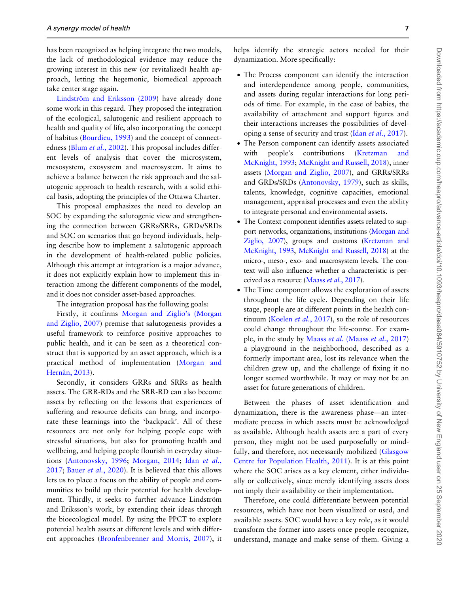has been recognized as helping integrate the two models, the lack of methodological evidence may reduce the growing interest in this new (or revitalized) health approach, letting the hegemonic, biomedical approach take center stage again.

Lindström and Eriksson (2009) have already done some work in this regard. They proposed the integration of the ecological, salutogenic and resilient approach to health and quality of life, also incorporating the concept of habitus ([Bourdieu, 1993\)](#page-8-0) and the concept of connectedness (Blum *et al.*[, 2002](#page-8-0)). This proposal includes different levels of analysis that cover the microsystem, mesosystem, exosystem and macrosystem. It aims to achieve a balance between the risk approach and the salutogenic approach to health research, with a solid ethical basis, adopting the principles of the Ottawa Charter.

This proposal emphasizes the need to develop an SOC by expanding the salutogenic view and strengthening the connection between GRRs/SRRs, GRDs/SRDs and SOC on scenarios that go beyond individuals, helping describe how to implement a salutogenic approach in the development of health-related public policies. Although this attempt at integration is a major advance, it does not explicitly explain how to implement this interaction among the different components of the model, and it does not consider asset-based approaches.

The integration proposal has the following goals:

Firstly, it confirms [Morgan and Ziglio's \(Morgan](#page-9-0) [and Ziglio, 2007](#page-9-0)) premise that salutogenesis provides a useful framework to reinforce positive approaches to public health, and it can be seen as a theoretical construct that is supported by an asset approach, which is a practical method of implementation [\(Morgan and](#page-9-0) Hernán, 2013).

Secondly, it considers GRRs and SRRs as health assets. The GRR-RDs and the SRR-RD can also become assets by reflecting on the lessons that experiences of suffering and resource deficits can bring, and incorporate these learnings into the 'backpack'. All of these resources are not only for helping people cope with stressful situations, but also for promoting health and wellbeing, and helping people flourish in everyday situations ([Antonovsky, 1996](#page-8-0); [Morgan, 2014;](#page-9-0) Idan [et al.](#page-9-0), [2017](#page-9-0); Bauer et al.[, 2020](#page-8-0)). It is believed that this allows lets us to place a focus on the ability of people and communities to build up their potential for health development. Thirdly, it seeks to further advance Lindström and Eriksson's work, by extending their ideas through the bioecological model. By using the PPCT to explore potential health assets at different levels and with different approaches ([Bronfenbrenner and Morris, 2007](#page-8-0)), it

helps identify the strategic actors needed for their dynamization. More specifically:

- The Process component can identify the interaction and interdependence among people, communities, and assets during regular interactions for long periods of time. For example, in the case of babies, the availability of attachment and support figures and their interactions increases the possibilities of developing a sense of security and trust (Idan et al.[, 2017](#page-9-0)).
- The Person component can identify assets associated with people's contributions ([Kretzman and](#page-9-0) [McKnight, 1993;](#page-9-0) [McKnight and Russell, 2018\)](#page-9-0), inner assets ([Morgan and Ziglio, 2007\)](#page-9-0), and GRRs/SRRs and GRDs/SRDs [\(Antonovsky, 1979\)](#page-8-0), such as skills, talents, knowledge, cognitive capacities, emotional management, appraisal processes and even the ability to integrate personal and environmental assets.
- The Context component identifies assets related to support networks, organizations, institutions [\(Morgan and](#page-9-0) [Ziglio, 2007](#page-9-0)), groups and customs ([Kretzman and](#page-9-0) [McKnight, 1993,](#page-9-0) [McKnight and Russell, 2018\)](#page-9-0) at the micro-, meso-, exo- and macrosystem levels. The context will also influence whether a characteristic is perceived as a resource [\(Maass](#page-9-0) et al., 2017).
- The Time component allows the exploration of assets throughout the life cycle. Depending on their life stage, people are at different points in the health continuum [\(Koelen](#page-9-0) et al., 2017), so the role of resources could change throughout the life-course. For exam-ple, in the study by Maass et al. [\(Maass](#page-9-0) et al., 2017) a playground in the neighborhood, described as a formerly important area, lost its relevance when the children grew up, and the challenge of fixing it no longer seemed worthwhile. It may or may not be an asset for future generations of children.

Between the phases of asset identification and dynamization, there is the awareness phase—an intermediate process in which assets must be acknowledged as available. Although health assets are a part of every person, they might not be used purposefully or mind-fully, and therefore, not necessarily mobilized [\(Glasgow](#page-9-0) [Centre for Population Health, 2011\)](#page-9-0). It is at this point where the SOC arises as a key element, either individually or collectively, since merely identifying assets does not imply their availability or their implementation.

Therefore, one could differentiate between potential resources, which have not been visualized or used, and available assets. SOC would have a key role, as it would transform the former into assets once people recognize, understand, manage and make sense of them. Giving a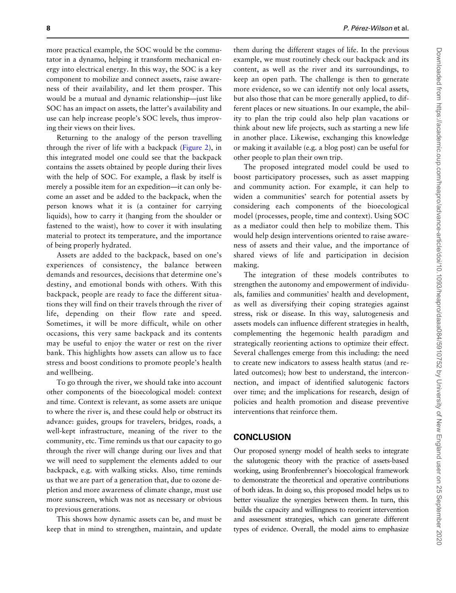more practical example, the SOC would be the commutator in a dynamo, helping it transform mechanical energy into electrical energy. In this way, the SOC is a key component to mobilize and connect assets, raise awareness of their availability, and let them prosper. This would be a mutual and dynamic relationship—just like SOC has an impact on assets, the latter's availability and use can help increase people's SOC levels, thus improving their views on their lives.

Returning to the analogy of the person travelling through the river of life with a backpack [\(Figure 2](#page-3-0)), in this integrated model one could see that the backpack contains the assets obtained by people during their lives with the help of SOC. For example, a flask by itself is merely a possible item for an expedition—it can only become an asset and be added to the backpack, when the person knows what it is (a container for carrying liquids), how to carry it (hanging from the shoulder or fastened to the waist), how to cover it with insulating material to protect its temperature, and the importance of being properly hydrated.

Assets are added to the backpack, based on one's experiences of consistency, the balance between demands and resources, decisions that determine one's destiny, and emotional bonds with others. With this backpack, people are ready to face the different situations they will find on their travels through the river of life, depending on their flow rate and speed. Sometimes, it will be more difficult, while on other occasions, this very same backpack and its contents may be useful to enjoy the water or rest on the river bank. This highlights how assets can allow us to face stress and boost conditions to promote people's health and wellbeing.

To go through the river, we should take into account other components of the bioecological model: context and time. Context is relevant, as some assets are unique to where the river is, and these could help or obstruct its advance: guides, groups for travelers, bridges, roads, a well-kept infrastructure, meaning of the river to the community, etc. Time reminds us that our capacity to go through the river will change during our lives and that we will need to supplement the elements added to our backpack, e.g. with walking sticks. Also, time reminds us that we are part of a generation that, due to ozone depletion and more awareness of climate change, must use more sunscreen, which was not as necessary or obvious to previous generations.

This shows how dynamic assets can be, and must be keep that in mind to strengthen, maintain, and update

them during the different stages of life. In the previous example, we must routinely check our backpack and its content, as well as the river and its surroundings, to keep an open path. The challenge is then to generate more evidence, so we can identify not only local assets, but also those that can be more generally applied, to different places or new situations. In our example, the ability to plan the trip could also help plan vacations or think about new life projects, such as starting a new life in another place. Likewise, exchanging this knowledge or making it available (e.g. a blog post) can be useful for other people to plan their own trip.

The proposed integrated model could be used to boost participatory processes, such as asset mapping and community action. For example, it can help to widen a communities' search for potential assets by considering each components of the bioecological model (processes, people, time and context). Using SOC as a mediator could then help to mobilize them. This would help design interventions oriented to raise awareness of assets and their value, and the importance of shared views of life and participation in decision making.

The integration of these models contributes to strengthen the autonomy and empowerment of individuals, families and communities' health and development, as well as diversifying their coping strategies against stress, risk or disease. In this way, salutogenesis and assets models can influence different strategies in health, complementing the hegemonic health paradigm and strategically reorienting actions to optimize their effect. Several challenges emerge from this including: the need to create new indicators to assess health status (and related outcomes); how best to understand, the interconnection, and impact of identified salutogenic factors over time; and the implications for research, design of policies and health promotion and disease preventive interventions that reinforce them.

#### **CONCLUSION**

Our proposed synergy model of health seeks to integrate the salutogenic theory with the practice of assets-based working, using Bronfenbrenner's bioecological framework to demonstrate the theoretical and operative contributions of both ideas. In doing so, this proposed model helps us to better visualize the synergies between them. In turn, this builds the capacity and willingness to reorient intervention and assessment strategies, which can generate different types of evidence. Overall, the model aims to emphasize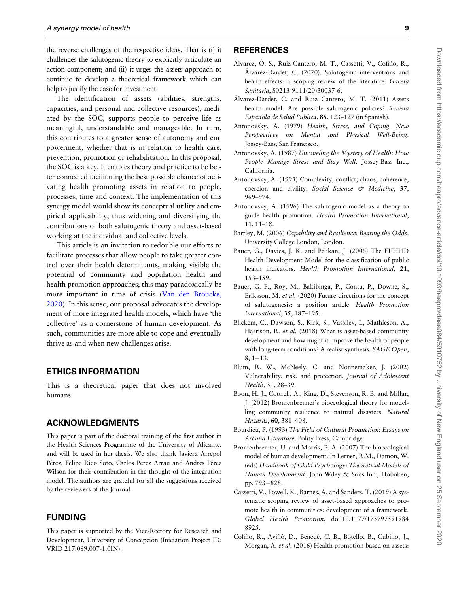<span id="page-8-0"></span>the reverse challenges of the respective ideas. That is (i) it challenges the salutogenic theory to explicitly articulate an action component; and (ii) it urges the assets approach to continue to develop a theoretical framework which can help to justify the case for investment.

The identification of assets (abilities, strengths, capacities, and personal and collective resources), mediated by the SOC, supports people to perceive life as meaningful, understandable and manageable. In turn, this contributes to a greater sense of autonomy and empowerment, whether that is in relation to health care, prevention, promotion or rehabilitation. In this proposal, the SOC is a key. It enables theory and practice to be better connected facilitating the best possible chance of activating health promoting assets in relation to people, processes, time and context. The implementation of this synergy model would show its conceptual utility and empirical applicability, thus widening and diversifying the contributions of both salutogenic theory and asset-based working at the individual and collective levels.

This article is an invitation to redouble our efforts to facilitate processes that allow people to take greater control over their health determinants, making visible the potential of community and population health and health promotion approaches; this may paradoxically be more important in time of crisis [\(Van den Broucke,](#page-10-0) [2020](#page-10-0)). In this sense, our proposal advocates the development of more integrated health models, which have 'the collective' as a cornerstone of human development. As such, communities are more able to cope and eventually thrive as and when new challenges arise.

#### ETHICS INFORMATION

This is a theoretical paper that does not involved humans.

# ACKNOWLEDGMENTS

This paper is part of the doctoral training of the first author in the Health Sciences Programme of the University of Alicante, and will be used in her thesis. We also thank Javiera Arrepol Pérez, Felipe Rico Soto, Carlos Pérez Arrau and Andrés Pérez Wilson for their contribution in the thought of the integration model. The authors are grateful for all the suggestions received by the reviewers of the Journal.

# FUNDING

This paper is supported by the Vice-Rectory for Research and Development, University of Concepción (Iniciation Project ID: VRID 217.089.007-1.0IN).

# **REFERENCES**

- Álvarez, Ó. S., Ruiz-Cantero, M. T., Cassetti, V., Cofiño, R., Álvarez-Dardet, C. (2020). Salutogenic interventions and health effects: a scoping review of the literature. Gaceta Sanitaria, S0213-9111(20)30037-6.
- Álvarez-Dardet, C. and Ruiz Cantero, M. T. (2011) Assets health model. Are possible salutogenic policies? Revista Española de Salud Pública, 85, 123-127 (in Spanish).
- Antonovsky, A. (1979) Health, Stress, and Coping. New Perspectives on Mental and Physical Well-Being. Jossey-Bass, San Francisco.
- Antonovsky, A. (1987) Unraveling the Mystery of Health: How People Manage Stress and Stay Well. Jossey-Bass Inc., California.
- Antonovsky, A. (1993) Complexity, conflict, chaos, coherence, coercion and civility. Social Science & Medicine, 37, 969–974.
- Antonovsky, A. (1996) The salutogenic model as a theory to guide health promotion. Health Promotion International, 11, 11–18.
- Bartley, M. (2006) Capability and Resilience: Beating the Odds. University College London, London.
- Bauer, G., Davies, J. K. and Pelikan, J. (2006) The EUHPID Health Development Model for the classification of public health indicators. Health Promotion International, 21, 153–159.
- Bauer, G. F., Roy, M., Bakibinga, P., Contu, P., Downe, S., Eriksson, M. et al. (2020) Future directions for the concept of salutogenesis: a position article. Health Promotion International, 35, 187–195.
- Blickem, C., Dawson, S., Kirk, S., Vassilev, I., Mathieson, A., Harrison, R. et al. (2018) What is asset-based community development and how might it improve the health of people with long-term conditions? A realist synthesis. SAGE Open,  $8, 1-13.$
- Blum, R. W., McNeely, C. and Nonnemaker, J. (2002) Vulnerability, risk, and protection. Journal of Adolescent Health, 31, 28–39.
- Boon, H. J., Cottrell, A., King, D., Stevenson, R. B. and Millar, J. (2012) Bronfenbrenner's bioecological theory for modelling community resilience to natural disasters. Natural Hazards, 60, 381–408.
- Bourdieu, P. (1993) The Field of Cultural Production: Essays on Art and Literature. Polity Press, Cambridge.
- Bronfenbrenner, U. and Morris, P. A. (2007) The bioecological model of human development. In Lerner, R.M., Damon, W. (eds) Handbook of Child Psychology: Theoretical Models of Human Development. John Wiley & Sons Inc., Hoboken, pp. 793-828.
- Cassetti, V., Powell, K., Barnes, A. and Sanders, T. (2019) A systematic scoping review of asset-based approaches to promote health in communities: development of a framework. Global Health Promotion, doi:10.1177/175797591984 8925.
- Cofiño, R., Aviñó, D., Benedé, C. B., Botello, B., Cubillo, J., Morgan, A. et al. (2016) Health promotion based on assets: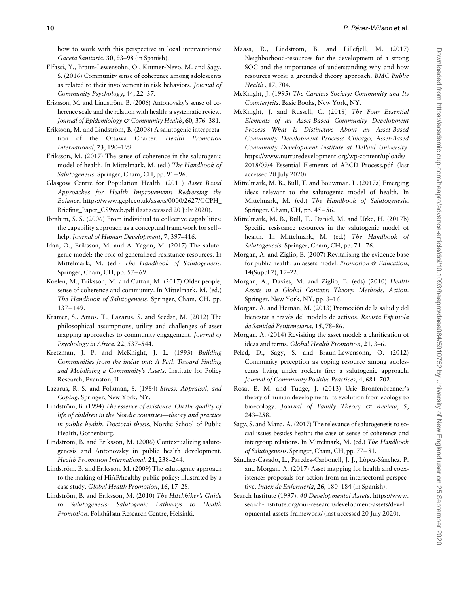<span id="page-9-0"></span>how to work with this perspective in local interventions? Gaceta Sanitaria, 30, 93–98 (in Spanish).

- Elfassi, Y., Braun-Lewensohn, O., Krumer-Nevo, M. and Sagy, S. (2016) Community sense of coherence among adolescents as related to their involvement in risk behaviors. Journal of Community Psychology, 44, 22–37.
- Eriksson, M. and Lindström, B. (2006) Antonovsky's sense of coherence scale and the relation with health: a systematic review. Journal of Epidemiology & Community Health, 60, 376-381.
- Eriksson, M. and Lindström, B. (2008) A salutogenic interpretation of the Ottawa Charter. Health Promotion International, 23, 190–199.
- Eriksson, M. (2017) The sense of coherence in the salutogenic model of health. In Mittelmark, M. (ed.) The Handbook of Salutogenesis. Springer, Cham, CH, pp. 91-96.
- Glasgow Centre for Population Health. (2011) Asset Based Approaches for Health Improvement: Redressing the Balance. [https://www.gcph.co.uk/assets/0000/2627/GCPH\\_](https://www.gcph.co.uk/assets/0000/2627/GCPH_Briefing_Paper_CS9web.pdf) [Briefing\\_Paper\\_CS9web.pdf](https://www.gcph.co.uk/assets/0000/2627/GCPH_Briefing_Paper_CS9web.pdf) (last accessed 20 July 2020).
- Ibrahim, S. S. (2006) From individual to collective capabilities: the capability approach as a conceptual framework for self- help. Journal of Human Development, 7, 397–416.
- Idan, O., Eriksson, M. and Al-Yagon, M. (2017) The salutogenic model: the role of generalized resistance resources. In Mittelmark, M. (ed.) The Handbook of Salutogenesis. Springer, Cham, CH, pp. 57-69.
- Koelen, M., Eriksson, M. and Cattan, M. (2017) Older people, sense of coherence and community. In Mittelmark, M. (ed.) The Handbook of Salutogenesis. Springer, Cham, CH, pp. 137-149.
- Kramer, S., Amos, T., Lazarus, S. and Seedat, M. (2012) The philosophical assumptions, utility and challenges of asset mapping approaches to community engagement. Journal of Psychology in Africa, 22, 537–544.
- Kretzman, J. P. and McKnight, J. L. (1993) Building Communities from the inside out: A Path Toward Finding and Mobilizing a Community's Assets. Institute for Policy Research, Evanston, IL.
- Lazarus, R. S. and Folkman, S. (1984) Stress, Appraisal, and Coping. Springer, New York, NY.
- Lindström, B. (1994) The essence of existence. On the quality of life of children in the Nordic countries—theory and practice in public health. Doctoral thesis, Nordic School of Public Health, Gothenburg.
- Lindström, B. and Eriksson, M. (2006) Contextualizing salutogenesis and Antonovsky in public health development. Health Promotion International, 21, 238–244.
- Lindström, B. and Eriksson, M. (2009) The salutogenic approach to the making of HiAP/healthy public policy: illustrated by a case study. Global Health Promotion, 16, 17–28.
- Lindström, B. and Eriksson, M. (2010) The Hitchhiker's Guide to Salutogenesis: Salutogenic Pathways to Health Promotion. Folkhälsan Research Centre, Helsinki.
- Maass, R., Lindström, B. and Lillefjell, M. (2017) Neighborhood-resources for the development of a strong SOC and the importance of understanding why and how resources work: a grounded theory approach. BMC Public Health , 17, 704.
- McKnight, J. (1995) The Careless Society: Community and Its Counterfeits. Basic Books, New York, NY.
- McKnight, J. and Russell, C. (2018) The Four Essential Elements of an Asset-Based Community Development Process What Is Distinctive About an Asset-Based Community Development Process? Chicago, Asset-Based Community Development Institute at DePaul University. [https://www.nurturedevelopment.org/wp-content/uploads/](https://www.nurturedevelopment.org/wp-content/uploads/2018/09/4_Essential_Elements_of_ABCD_Process.pdf) [2018/09/4\\_Essential\\_Elements\\_of\\_ABCD\\_Process.pdf](https://www.nurturedevelopment.org/wp-content/uploads/2018/09/4_Essential_Elements_of_ABCD_Process.pdf) (last accessed 20 July 2020).
- Mittelmark, M. B., Bull, T. and Bouwman, L. (2017a) Emerging ideas relevant to the salutogenic model of health. In Mittelmark, M. (ed.) The Handbook of Salutogenesis. Springer, Cham, CH, pp. 45-56.
- Mittelmark, M. B., Bull, T., Daniel, M. and Urke, H. (2017b) Specific resistance resources in the salutogenic model of health. In Mittelmark, M. (ed.) The Handbook of Salutogenesis. Springer, Cham, CH, pp. 71-76.
- Morgan, A. and Ziglio, E. (2007) Revitalising the evidence base for public health: an assets model. Promotion & Education, 14(Suppl 2), 17–22.
- Morgan, A., Davies, M. and Ziglio, E. (eds) (2010) Health Assets in a Global Context: Theory, Methods, Action. Springer, New York, NY, pp. 3–16.
- Morgan, A. and Hernán, M. (2013) Promoción de la salud y del bienestar a través del modelo de activos. Revista Española de Sanidad Penitenciaria, 15, 78–86.
- Morgan, A. (2014) Revisiting the asset model: a clarification of ideas and terms. Global Health Promotion, 21, 3–6.
- Peled, D., Sagy, S. and Braun-Lewensohn, O. (2012) Community perception as coping resource among adolescents living under rockets fire: a salutogenic approach. Journal of Community Positive Practices, 4, 681–702.
- Rosa, E. M. and Tudge, J. (2013) Urie Bronfenbrenner's theory of human development: its evolution from ecology to bioecology. Journal of Family Theory & Review, 5, 243–258.
- Sagy, S. and Mana, A. (2017) The relevance of salutogenesis to social issues besides health: the case of sense of coherence and intergroup relations. In Mittelmark, M. (ed.) The Handbook of Salutogenesis. Springer, Cham, CH, pp. 77-81.
- Sánchez-Casado, L., Paredes-Carbonell, J. J., López-Sánchez, P. and Morgan, A. (2017) Asset mapping for health and coexistence: proposals for action from an intersectoral perspective. Index de Enfermería, 26, 180-184 (in Spanish).
- Search Institute (1997). 40 Developmental Assets. [https://www.](https://www.search-institute.org/our-research/development-assets/developmental-assets-framework/) [search-institute.org/our-research/development-assets/devel](https://www.search-institute.org/our-research/development-assets/developmental-assets-framework/) [opmental-assets-framework/](https://www.search-institute.org/our-research/development-assets/developmental-assets-framework/) (last accessed 20 July 2020).